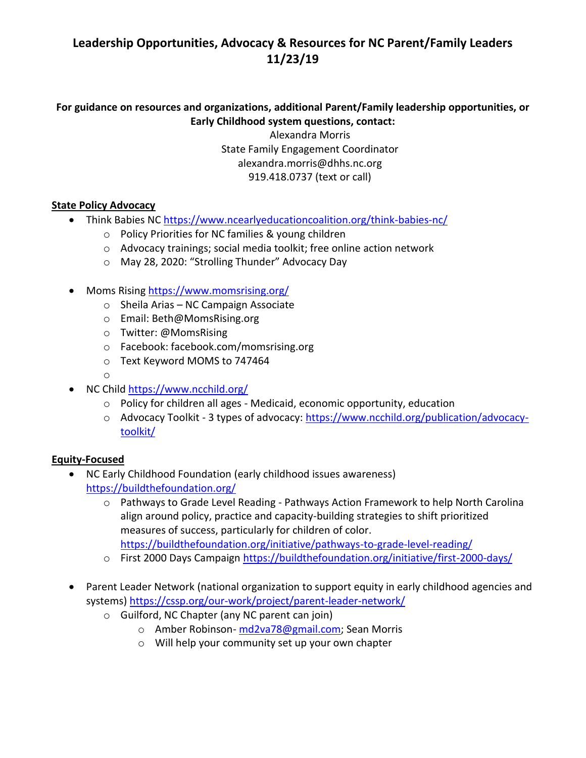# **Leadership Opportunities, Advocacy & Resources for NC Parent/Family Leaders 11/23/19**

# **For guidance on resources and organizations, additional Parent/Family leadership opportunities, or Early Childhood system questions, contact:**

Alexandra Morris State Family Engagement Coordinator alexandra.morris@dhhs.nc.org 919.418.0737 (text or call)

### **State Policy Advocacy**

- Think Babies NC <https://www.ncearlyeducationcoalition.org/think-babies-nc/>
	- o Policy Priorities for NC families & young children
	- o Advocacy trainings; social media toolkit; free online action network
	- o May 28, 2020: "Strolling Thunder" Advocacy Day
- Moms Rising <https://www.momsrising.org/>
	- o Sheila Arias NC Campaign Associate
	- o Email: Beth@MomsRising.org
	- o Twitter: @MomsRising
	- o Facebook: facebook.com/momsrising.org
	- o Text Keyword MOMS to 747464
	- o
- NC Child <https://www.ncchild.org/>
	- o Policy for children all ages Medicaid, economic opportunity, education
	- o Advocacy Toolkit 3 types of advocacy: [https://www.ncchild.org/publication/advocacy](https://www.ncchild.org/publication/advocacy-toolkit/)[toolkit/](https://www.ncchild.org/publication/advocacy-toolkit/)

## **Equity-Focused**

- NC Early Childhood Foundation (early childhood issues awareness) <https://buildthefoundation.org/>
	- o Pathways to Grade Level Reading Pathways Action Framework to help North Carolina align around policy, practice and capacity-building strategies to shift prioritized measures of success, particularly for children of color. <https://buildthefoundation.org/initiative/pathways-to-grade-level-reading/>
	- o First 2000 Days Campaign<https://buildthefoundation.org/initiative/first-2000-days/>
- Parent Leader Network (national organization to support equity in early childhood agencies and systems)<https://cssp.org/our-work/project/parent-leader-network/>
	- o Guilford, NC Chapter (any NC parent can join)
		- o Amber Robinson- [md2va78@gmail.com;](mailto:md2va78@gmail.com) Sean Morris
		- o Will help your community set up your own chapter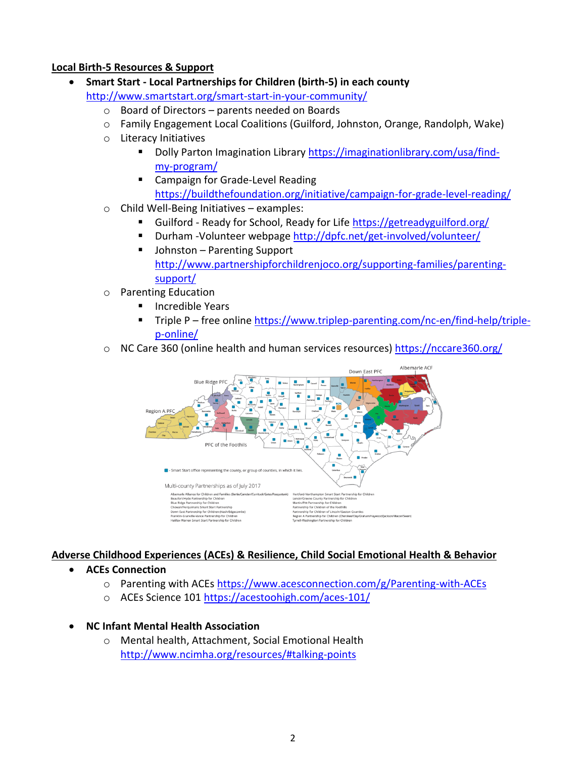### **Local Birth-5 Resources & Support**

- **Smart Start - Local Partnerships for Children (birth-5) in each county** <http://www.smartstart.org/smart-start-in-your-community/>
	- o Board of Directors parents needed on Boards
	- o Family Engagement Local Coalitions (Guilford, Johnston, Orange, Randolph, Wake)
	- o Literacy Initiatives
		- Dolly Parton Imagination Library [https://imaginationlibrary.com/usa/find](https://imaginationlibrary.com/usa/find-my-program/)[my-progra](https://imaginationlibrary.com/usa/find-my-program/)m/
		- Campaign for Grade-Level Reading <https://buildthefoundation.org/initiative/campaign-for-grade-level-reading/>
	- $\circ$  Child Well-Being Initiatives examples:
		- Guilford Ready for School, Ready for Life<https://getreadyguilford.org/>
		- Durham -Volunteer webpage<http://dpfc.net/get-involved/volunteer/>
		- Johnston Parenting Support [http://www.partnershipforchildrenjoco.org/supporting-families/parenting](http://www.partnershipforchildrenjoco.org/supporting-families/parenting-support/)[support/](http://www.partnershipforchildrenjoco.org/supporting-families/parenting-support/)
	- o Parenting Education
		- **Incredible Years**
		- Triple P free online [https://www.triplep-parenting.com/nc-en/find-help/triple](https://www.triplep-parenting.com/nc-en/find-help/triple-p-online/)[p-online/](https://www.triplep-parenting.com/nc-en/find-help/triple-p-online/)
	- $\circ$  NC Care 360 (online health and human services resources) <https://nccare360.org/>



## **Adverse Childhood Experiences (ACEs) & Resilience, Child Social Emotional Health & Behavior**

- **ACEs Connection**
	- o Parenting with ACEs <https://www.acesconnection.com/g/Parenting-with-ACEs>
	- o ACEs Science 101<https://acestoohigh.com/aces-101/>

#### • **NC Infant Mental Health Association**

o Mental health, Attachment, Social Emotional Health [http://www.ncimha.org/resources/#talking-points](http://www.ncimha.org/resources/)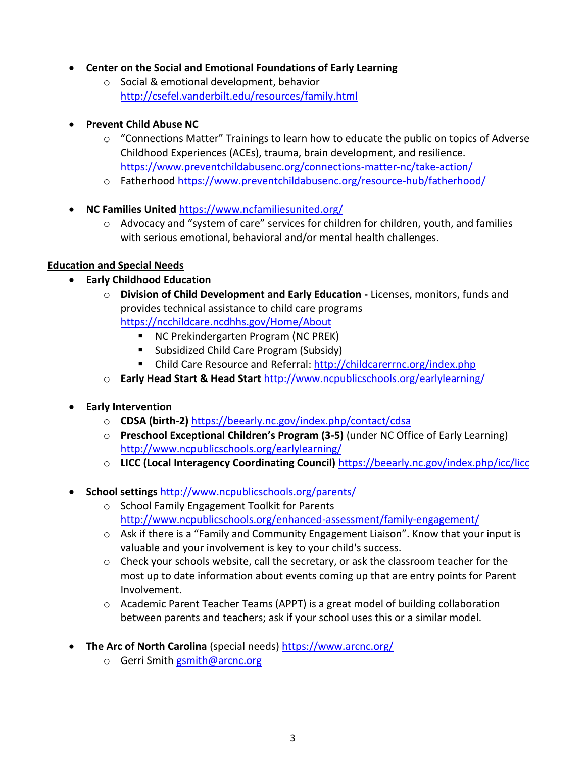## • **Center on the Social and Emotional Foundations of Early Learning**

- o Social & emotional development, behavior <http://csefel.vanderbilt.edu/resources/family.html>
- **Prevent Child Abuse NC**
	- o "Connections Matter" Trainings to learn how to educate the public on topics of Adverse Childhood Experiences (ACEs), trauma, brain development, and resilience. <https://www.preventchildabusenc.org/connections-matter-nc/take-action/>
	- o Fatherhoo[d https://www.preventchildabusenc.org/resource-hub/fatherhood/](https://www.preventchildabusenc.org/resource-hub/fatherhood/)
- **NC Families United** <https://www.ncfamiliesunited.org/>
	- o Advocacy and "system of care" services for children for children, youth, and families with serious emotional, behavioral and/or mental health challenges.

### **Education and Special Needs**

- **Early Childhood Education**
	- o **Division of Child Development and Early Education -** Licenses, [monitors,](https://ncchildcare.ncdhhs.gov/Home/DCDEE-Sections/Regulatory-Services) funds and provides technical assistance to child care programs <https://ncchildcare.ncdhhs.gov/Home/About>
		- NC Prekindergarten Program (NC PREK)
		- Subsidized Child Care Program (Subsidy)
		- Child Care Resource and Referral:<http://childcarerrnc.org/index.php>
	- o **Early Head Start & Head Start** <http://www.ncpublicschools.org/earlylearning/>
- **Early Intervention**
	- o **CDSA (birth-2)** <https://beearly.nc.gov/index.php/contact/cdsa>
	- o **Preschool Exceptional Children's Program (3-5)** (under NC Office of Early Learning) <http://www.ncpublicschools.org/earlylearning/>
	- o **LICC (Local Interagency Coordinating Council)** <https://beearly.nc.gov/index.php/icc/licc>
- **School settings** <http://www.ncpublicschools.org/parents/>
	- o School Family Engagement Toolkit for Parents <http://www.ncpublicschools.org/enhanced-assessment/family-engagement/>
	- $\circ$  Ask if there is a "Family and Community Engagement Liaison". Know that your input is valuable and your involvement is key to your child's success.
	- $\circ$  Check your schools website, call the secretary, or ask the classroom teacher for the most up to date information about events coming up that are entry points for Parent Involvement.
	- $\circ$  Academic Parent Teacher Teams (APPT) is a great model of building collaboration between parents and teachers; ask if your school uses this or a similar model.
- **The Arc of North Carolina** (special needs) <https://www.arcnc.org/>
	- o Gerri Smith [gsmith@arcnc.org](mailto:gsmith@arcnc.org)